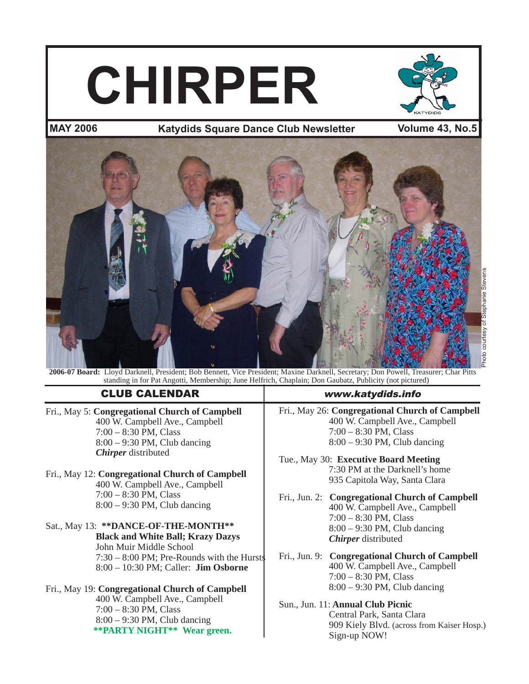# **CHIRPER**



# **MAY 2006 Volume 43, No.5 Katydids Square Dance Club Newslettertter**



**2006-07 Board:** Lloyd Darknell, President; Bob Bennett, Vice President; Maxine Darknell, Secretary; Don Powell, Treasurer; Char Pitts standing in for Pat Angotti, Membership; June Helfrich, Chaplain; Don Gaubatz, Publicity (not pictured)

# CLUB CALENDAR www.katydids.info

Fri., May 5: **Congregational Church of Campbell** 400 W. Campbell Ave., Campbell 7:00 – 8:30 PM, Class 8:00 – 9:30 PM, Club dancing *Chirper* distributed

#### Fri., May 12: **Congregational Church of Campbell** 400 W. Campbell Ave., Campbell 7:00 – 8:30 PM, Class 8:00 – 9:30 PM, Club dancing

# Sat., May 13: **\*\*DANCE-OF-THE-MONTH\*\* Black and White Ball; Krazy Dazys** John Muir Middle School 7:30 – 8:00 PM; Pre-Rounds with the Hursts 8:00 – 10:30 PM; Caller: **Jim Osborne**

# Fri., May 19: **Congregational Church of Campbell**

400 W. Campbell Ave., Campbell 7:00 – 8:30 PM, Class 8:00 – 9:30 PM, Club dancing **\*\*PARTY NIGHT\*\* Wear green.**

Fri., May 26: **Congregational Church of Campbell** 400 W. Campbell Ave., Campbell 7:00 – 8:30 PM, Class 8:00 – 9:30 PM, Club dancing

Tue., May 30: **Executive Board Meeting** 7:30 PM at the Darknell's home 935 Capitola Way, Santa Clara

Fri., Jun. 2: **Congregational Church of Campbell** 400 W. Campbell Ave., Campbell 7:00 – 8:30 PM, Class 8:00 – 9:30 PM, Club dancing *Chirper* distributed

Fri., Jun. 9: **Congregational Church of Campbell** 400 W. Campbell Ave., Campbell 7:00 – 8:30 PM, Class 8:00 – 9:30 PM, Club dancing

# Sun., Jun. 11: **Annual Club Picnic** Central Park, Santa Clara

 909 Kiely Blvd. (across from Kaiser Hosp.) Sign-up NOW!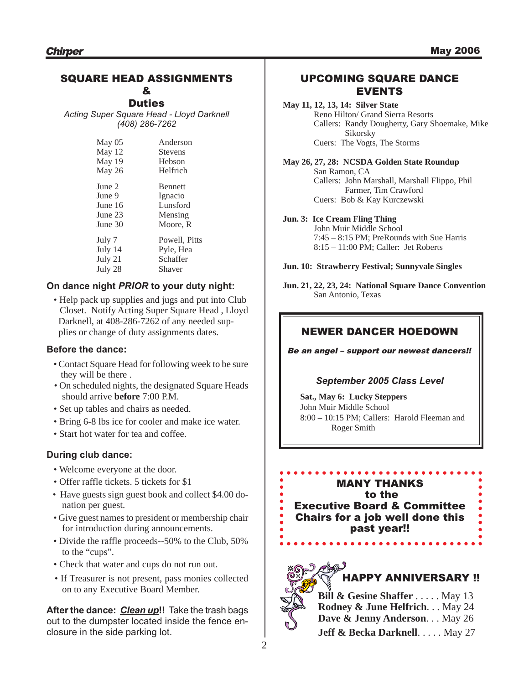# SQUARE HEAD ASSIGNMENTS

#### & **Duties**

*Acting Super Square Head - Lloyd Darknell (408) 286-7262*

| May 05  | Anderson       |
|---------|----------------|
| May 12  | <b>Stevens</b> |
| May 19  | Hebson         |
| May 26  | Helfrich       |
| June 2  | <b>Bennett</b> |
| June 9  | Ignacio        |
| June 16 | Lunsford       |
| June 23 | Mensing        |
| June 30 | Moore, R       |
| July 7  | Powell, Pitts  |
| July 14 | Pyle, Hea      |
| July 21 | Schaffer       |
| July 28 | Shaver         |

# **On dance night** *PRIOR* **to your duty night:**

• Help pack up supplies and jugs and put into Club Closet. Notify Acting Super Square Head , Lloyd Darknell, at 408-286-7262 of any needed sup plies or change of duty assignments dates.

## **Before the dance:**

- Contact Square Head for following week to be sure they will be there .
- On scheduled nights, the designated Square Heads should arrive **before** 7:00 P.M.
- Set up tables and chairs as needed.
- Bring 6-8 lbs ice for cooler and make ice water.
- Start hot water for tea and coffee.

## **During club dance:**

- Welcome everyone at the door.
- Offer raffle tickets. 5 tickets for \$1
- Have guests sign guest book and collect \$4.00 donation per guest.
- Give guest names to president or membership chair for introduction during announcements.
- Divide the raffle proceeds--50% to the Club, 50% to the "cups".
- Check that water and cups do not run out.
- If Treasurer is not present, pass monies collected on to any Executive Board Member.

**After the dance:** *Clean up***!!** Take the trash bags out to the dumpster located inside the fence enclosure in the side parking lot.

# UPCOMING SQUARE DANCE EVENTS

## **May 11, 12, 13, 14: Silver State**

Reno Hilton/ Grand Sierra Resorts Callers: Randy Dougherty, Gary Shoemake, Mike Sikorsky Cuers: The Vogts, The Storms

**May 26, 27, 28: NCSDA Golden State Roundup** San Ramon, CA Callers: John Marshall, Marshall Flippo, Phil Farmer, Tim Crawford Cuers: Bob & Kay Kurczewski

#### **Jun. 3: Ice Cream Fling Thing**

John Muir Middle School 7:45 – 8:15 PM; PreRounds with Sue Harris 8:15 – 11:00 PM; Caller: Jet Roberts

**Jun. 10: Strawberry Festival; Sunnyvale Singles**

**Jun. 21, 22, 23, 24: National Square Dance Convention** San Antonio, Texas

# NEWER DANCER HOEDOWN

Be an angel – support our newest dancers!!

## *September 2005 Class Level*

**Sat., May 6: Lucky Steppers** John Muir Middle School 8:00 – 10:15 PM; Callers: Harold Fleeman and Roger Smith

MANY THANKS to the Executive Board & Committee Chairs for a job well done this

past year!!



| $\sim$<br>$\mathbb{Z}$ | <b>Bill &amp; Gesine Shaffer</b> May 13  |  |
|------------------------|------------------------------------------|--|
|                        | Rodney & June Helfrich May 24            |  |
|                        | Dave & Jenny Anderson May 26             |  |
|                        | <b>Jeff &amp; Becka Darknell.</b> May 27 |  |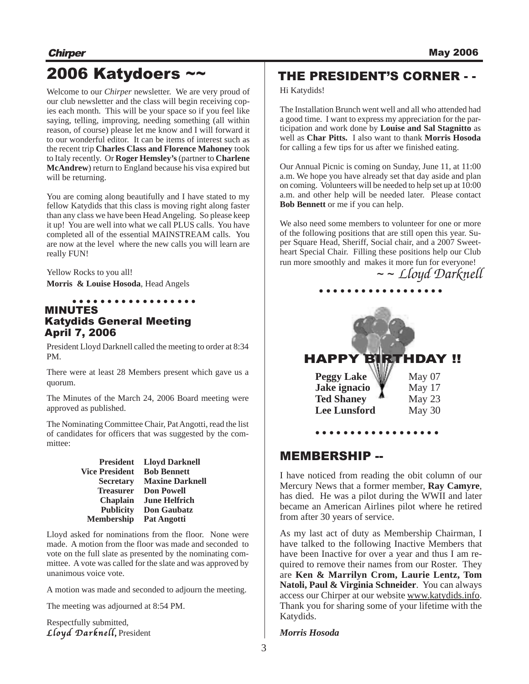# 2006 Katydoers ~~

Welcome to our *Chirper* newsletter. We are very proud of our club newsletter and the class will begin receiving copies each month. This will be your space so if you feel like saying, telling, improving, needing something (all within reason, of course) please let me know and I will forward it to our wonderful editor. It can be items of interest such as the recent trip **Charles Class and Florence Mahoney** took to Italy recently. Or **Roger Hemsley's**(partner to **Charlene McAndrew**) return to England because his visa expired but will be returning.

You are coming along beautifully and I have stated to my fellow Katydids that this class is moving right along faster than any class we have been Head Angeling. So please keep it up! You are well into what we call PLUS calls. You have completed all of the essential MAINSTREAM calls. You are now at the level where the new calls you will learn are really FUN!

Yellow Rocks to you all!

**Morris & Louise Hosoda**, Head Angels

#### MINUTES Katydids General Meeting April 7, 2006 ○○○○○○○○○○ ○○○○○○○○

President Lloyd Darknell called the meeting to order at 8:34 PM.

There were at least 28 Members present which gave us a quorum.

The Minutes of the March 24, 2006 Board meeting were approved as published.

The Nominating Committee Chair, Pat Angotti, read the list of candidates for officers that was suggested by the committee:

| <b>President</b>      | <b>Lloyd Darknell</b>  |
|-----------------------|------------------------|
| <b>Vice President</b> | <b>Bob Bennett</b>     |
| <b>Secretary</b>      | <b>Maxine Darknell</b> |
| <b>Treasurer</b>      | <b>Don Powell</b>      |
| <b>Chaplain</b>       | <b>June Helfrich</b>   |
| <b>Publicity</b>      | <b>Don Gaubatz</b>     |
| <b>Membership</b>     | <b>Pat Angotti</b>     |

Lloyd asked for nominations from the floor. None were made. A motion from the floor was made and seconded to vote on the full slate as presented by the nominating committee. A vote was called for the slate and was approved by unanimous voice vote.

A motion was made and seconded to adjourn the meeting.

The meeting was adjourned at 8:54 PM.

Respectfully submitted, Lloyd Darknell, President

# THE PRESIDENT'S CORNER - -

Hi Katydids!

The Installation Brunch went well and all who attended had a good time. I want to express my appreciation for the participation and work done by **Louise and Sal Stagnitto** as well as **Char Pitts.** I also want to thank **Morris Hosoda** for calling a few tips for us after we finished eating.

Our Annual Picnic is coming on Sunday, June 11, at 11:00 a.m. We hope you have already set that day aside and plan on coming. Volunteers will be needed to help set up at 10:00 a.m. and other help will be needed later. Please contact **Bob Bennett** or me if you can help.

We also need some members to volunteer for one or more of the following positions that are still open this year. Super Square Head, Sheriff, Social chair, and a 2007 Sweetheart Special Chair. Filling these positions help our Club run more smoothly and makes it more fun for everyone!

~ ~ *Lloyd Darknell*



# MEMBERSHIP --

I have noticed from reading the obit column of our Mercury News that a former member, **Ray Camyre**, has died. He was a pilot during the WWII and later became an American Airlines pilot where he retired from after 30 years of service.

○○○○○○○○○ ○○○○○○○○○

As my last act of duty as Membership Chairman, I have talked to the following Inactive Members that have been Inactive for over a year and thus I am required to remove their names from our Roster. They are **Ken & Marrilyn Crom, Laurie Lentz, Tom Natoli, Paul & Virginia Schneider**. You can always access our Chirper at our website www.katydids.info. Thank you for sharing some of your lifetime with the Katydids.

#### *Morris Hosoda*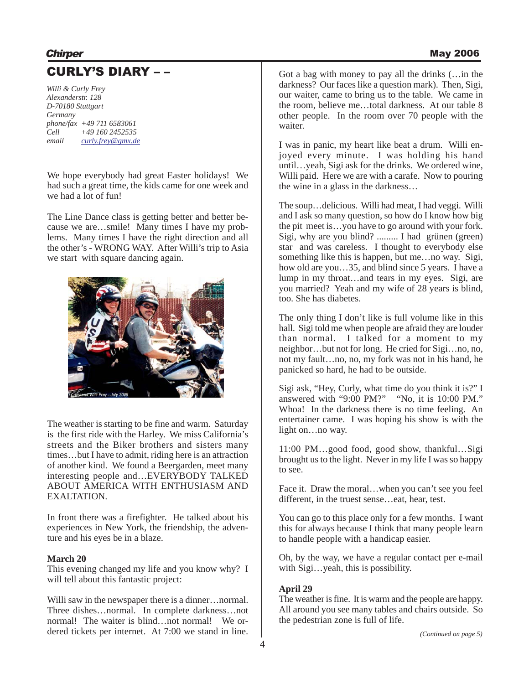# CURLY'S DIARY – –

*Willi & Curly Frey Alexanderstr. 128 D-70180 Stuttgart Germany phone/fax +49 711 6583061 Cell +49 160 2452535 email curly.frey@gmx.de*

We hope everybody had great Easter holidays! We had such a great time, the kids came for one week and we had a lot of fun!

The Line Dance class is getting better and better because we are…smile! Many times I have my problems. Many times I have the right direction and all the other's - WRONG WAY. After Willi's trip to Asia we start with square dancing again.



The weather is starting to be fine and warm. Saturday is the first ride with the Harley. We miss California's streets and the Biker brothers and sisters many times…but I have to admit, riding here is an attraction of another kind. We found a Beergarden, meet many interesting people and…EVERYBODY TALKED ABOUT AMERICA WITH ENTHUSIASM AND EXALTATION.

In front there was a firefighter. He talked about his experiences in New York, the friendship, the adventure and his eyes be in a blaze.

## **March 20**

This evening changed my life and you know why? I will tell about this fantastic project:

Willi saw in the newspaper there is a dinner... normal. Three dishes…normal. In complete darkness…not normal! The waiter is blind…not normal! We ordered tickets per internet. At 7:00 we stand in line.

Got a bag with money to pay all the drinks (…in the darkness? Our faces like a question mark). Then, Sigi, our waiter, came to bring us to the table. We came in the room, believe me…total darkness. At our table 8 other people. In the room over 70 people with the waiter.

I was in panic, my heart like beat a drum. Willi enjoyed every minute. I was holding his hand until…yeah, Sigi ask for the drinks. We ordered wine, Willi paid. Here we are with a carafe. Now to pouring the wine in a glass in the darkness…

The soup…delicious. Willi had meat, I had veggi. Willi and I ask so many question, so how do I know how big the pit meet is…you have to go around with your fork. Sigi, why are you blind? ......... I had grünen (green) star and was careless. I thought to everybody else something like this is happen, but me…no way. Sigi, how old are you...35, and blind since 5 years. I have a lump in my throat…and tears in my eyes. Sigi, are you married? Yeah and my wife of 28 years is blind, too. She has diabetes.

The only thing I don't like is full volume like in this hall. Sigi told me when people are afraid they are louder than normal. I talked for a moment to my neighbor…but not for long. He cried for Sigi…no, no, not my fault…no, no, my fork was not in his hand, he panicked so hard, he had to be outside.

Sigi ask, "Hey, Curly, what time do you think it is?" I answered with "9:00 PM?" "No, it is 10:00 PM." Whoa! In the darkness there is no time feeling. An entertainer came. I was hoping his show is with the light on…no way.

11:00 PM…good food, good show, thankful…Sigi brought us to the light. Never in my life I was so happy to see.

Face it. Draw the moral…when you can't see you feel different, in the truest sense…eat, hear, test.

You can go to this place only for a few months. I want this for always because I think that many people learn to handle people with a handicap easier.

Oh, by the way, we have a regular contact per e-mail with Sigi…yeah, this is possibility.

# **April 29**

The weather is fine. It is warm and the people are happy. All around you see many tables and chairs outside. So the pedestrian zone is full of life.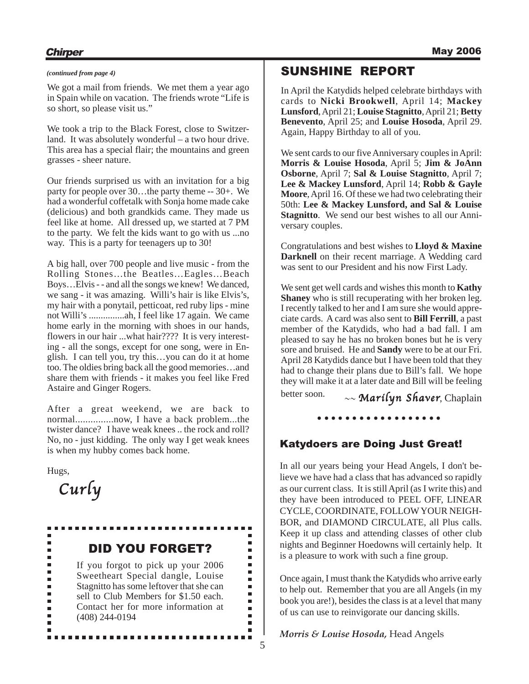# **Chirper** May 2006

We got a mail from friends. We met them a year ago in Spain while on vacation. The friends wrote "Life is so short, so please visit us."

We took a trip to the Black Forest, close to Switzerland. It was absolutely wonderful – a two hour drive. This area has a special flair; the mountains and green grasses - sheer nature.

Our friends surprised us with an invitation for a big party for people over 30…the party theme -- 30+. We had a wonderful coffetalk with Sonja home made cake (delicious) and both grandkids came. They made us feel like at home. All dressed up, we started at 7 PM to the party. We felt the kids want to go with us ...no way. This is a party for teenagers up to 30!

A big hall, over 700 people and live music - from the Rolling Stones…the Beatles…Eagles…Beach Boys…Elvis - - and all the songs we knew! We danced, we sang - it was amazing. Willi's hair is like Elvis's, my hair with a ponytail, petticoat, red ruby lips - mine not Willi's ...............ah, I feel like 17 again. We came home early in the morning with shoes in our hands, flowers in our hair ...what hair???? It is very interesting - all the songs, except for one song, were in English. I can tell you, try this…you can do it at home too. The oldies bring back all the good memories…and share them with friends - it makes you feel like Fred Astaire and Ginger Rogers.

After a great weekend, we are back to normal...............now, I have a back problem...the twister dance? I have weak knees .. the rock and roll? No, no - just kidding. The only way I get weak knees is when my hubby comes back home.

Hugs,

Curly



# SUNSHINE REPORT

In April the Katydids helped celebrate birthdays with cards to **Nicki Brookwell**, April 14; **Mackey Lunsford**, April 21; **Louise Stagnitto**, April 21; **Betty Benevento**, April 25; and **Louise Hosoda**, April 29. Again, Happy Birthday to all of you.

We sent cards to our five Anniversary couples in April: **Morris & Louise Hosoda**, April 5; **Jim & JoAnn Osborne**, April 7; **Sal & Louise Stagnitto**, April 7; **Lee & Mackey Lunsford**, April 14; **Robb & Gayle Moore**, April 16. Of these we had two celebrating their 50th: **Lee & Mackey Lunsford, and Sal & Louise Stagnitto**. We send our best wishes to all our Anniversary couples.

Congratulations and best wishes to **Lloyd & Maxine Darknell** on their recent marriage. A Wedding card was sent to our President and his now First Lady.

We sent get well cards and wishes this month to **Kathy Shaney** who is still recuperating with her broken leg. I recently talked to her and I am sure she would appreciate cards. A card was also sent to **Bill Ferrill**, a past member of the Katydids, who had a bad fall. I am pleased to say he has no broken bones but he is very sore and bruised. He and **Sandy** were to be at our Fri. April 28 Katydids dance but I have been told that they had to change their plans due to Bill's fall. We hope they will make it at a later date and Bill will be feeling better soon.

 $\sim$  Marilyn Shaver, Chaplain

○○○○○○○○○ ○○○○○○○○○

# Katydoers are Doing Just Great!

In all our years being your Head Angels, I don't believe we have had a class that has advanced so rapidly as our current class. It is still April (as I write this) and they have been introduced to PEEL OFF, LINEAR CYCLE, COORDINATE, FOLLOW YOUR NEIGH-BOR, and DIAMOND CIRCULATE, all Plus calls. Keep it up class and attending classes of other club nights and Beginner Hoedowns will certainly help. It is a pleasure to work with such a fine group.

Once again, I must thank the Katydids who arrive early to help out. Remember that you are all Angels (in my book you are!), besides the class is at a level that many of us can use to reinvigorate our dancing skills.

*Morris & Louise Hosoda,* Head Angels

5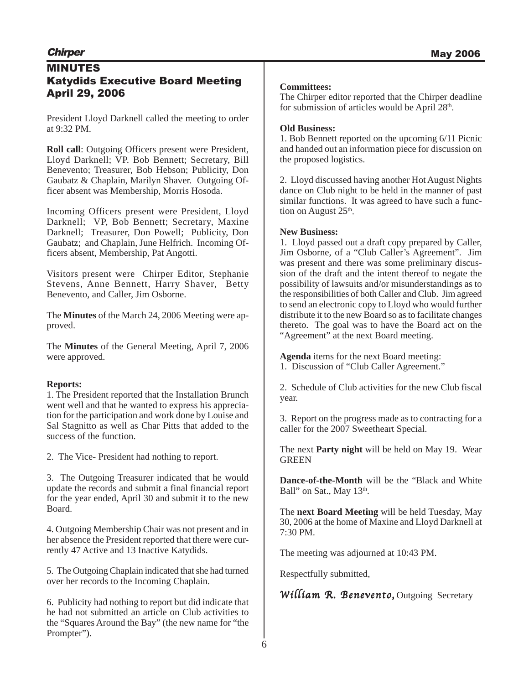# MINUTES Katydids Executive Board Meeting April 29, 2006

President Lloyd Darknell called the meeting to order at 9:32 PM.

**Roll call**: Outgoing Officers present were President, Lloyd Darknell; VP. Bob Bennett; Secretary, Bill Benevento; Treasurer, Bob Hebson; Publicity, Don Gaubatz & Chaplain, Marilyn Shaver. Outgoing Officer absent was Membership, Morris Hosoda.

Incoming Officers present were President, Lloyd Darknell; VP, Bob Bennett; Secretary, Maxine Darknell; Treasurer, Don Powell; Publicity, Don Gaubatz; and Chaplain, June Helfrich. Incoming Officers absent, Membership, Pat Angotti.

Visitors present were Chirper Editor, Stephanie Stevens, Anne Bennett, Harry Shaver, Betty Benevento, and Caller, Jim Osborne.

The **Minutes** of the March 24, 2006 Meeting were approved.

The **Minutes** of the General Meeting, April 7, 2006 were approved.

## **Reports:**

1. The President reported that the Installation Brunch went well and that he wanted to express his appreciation for the participation and work done by Louise and Sal Stagnitto as well as Char Pitts that added to the success of the function.

2. The Vice- President had nothing to report.

3. The Outgoing Treasurer indicated that he would update the records and submit a final financial report for the year ended, April 30 and submit it to the new Board.

4. Outgoing Membership Chair was not present and in her absence the President reported that there were currently 47 Active and 13 Inactive Katydids.

5. The Outgoing Chaplain indicated that she had turned over her records to the Incoming Chaplain.

6. Publicity had nothing to report but did indicate that he had not submitted an article on Club activities to the "Squares Around the Bay" (the new name for "the Prompter").

# **Committees:**

The Chirper editor reported that the Chirper deadline for submission of articles would be April  $28<sup>th</sup>$ .

# **Old Business:**

1. Bob Bennett reported on the upcoming 6/11 Picnic and handed out an information piece for discussion on the proposed logistics.

2. Lloyd discussed having another Hot August Nights dance on Club night to be held in the manner of past similar functions. It was agreed to have such a function on August  $25<sup>th</sup>$ .

## **New Business:**

1. Lloyd passed out a draft copy prepared by Caller, Jim Osborne, of a "Club Caller's Agreement". Jim was present and there was some preliminary discussion of the draft and the intent thereof to negate the possibility of lawsuits and/or misunderstandings as to the responsibilities of both Caller and Club. Jim agreed to send an electronic copy to Lloyd who would further distribute it to the new Board so as to facilitate changes thereto. The goal was to have the Board act on the "Agreement" at the next Board meeting.

**Agenda** items for the next Board meeting: 1. Discussion of "Club Caller Agreement."

2. Schedule of Club activities for the new Club fiscal year.

3. Report on the progress made as to contracting for a caller for the 2007 Sweetheart Special.

The next **Party night** will be held on May 19. Wear GREEN

**Dance-of-the-Month** will be the "Black and White Ball" on Sat., May 13<sup>th</sup>.

The **next Board Meeting** will be held Tuesday, May 30, 2006 at the home of Maxine and Lloyd Darknell at 7:30 PM.

The meeting was adjourned at 10:43 PM.

Respectfully submitted,

William R. Benevento, Outgoing Secretary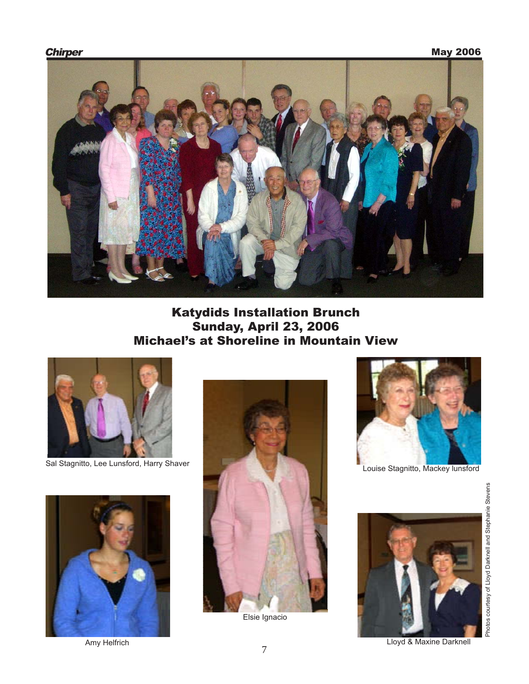

# Katydids Installation Brunch Sunday, April 23, 2006 Michael's at Shoreline in Mountain View



Sal Stagnitto, Lee Lunsford, Harry Shaver



Amy Helfrich



Louise Stagnitto, Mackey lunsford



Photos courtesy of Lloyd Darknell and Stephanie Stevens Photos courtesy of Lloyd Darknell and Stephanie Stevens

Lloyd & Maxine Darknell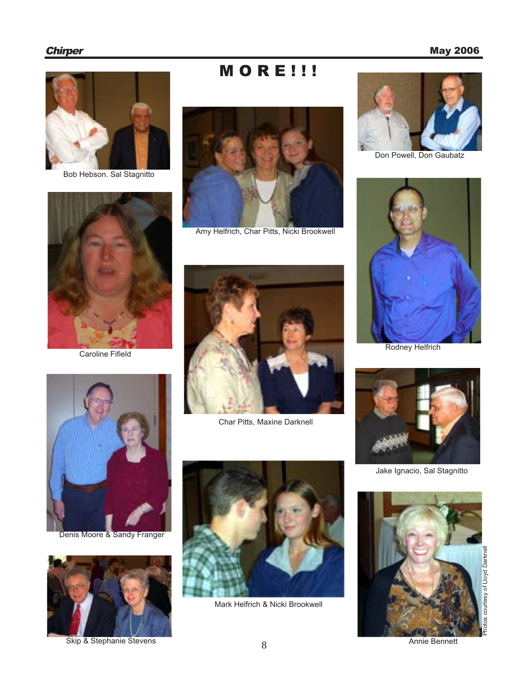# **Chirper** May 2006



Bob Hebson. Sal Stagnitto



Caroline Fifield





Amy Helfrich, Char Pitts, Nicki Brookwell



Char Pitts, Maxine Darknell



Denis Moore & Sandy Franger



Skip & Stephanie Stevens



Mark Helfrich & Nicki Brookwell



Don Powell, Don Gaubatz



Rodney Helfrich



Jake Ignacio, Sal Stagnitto



Annie Bennett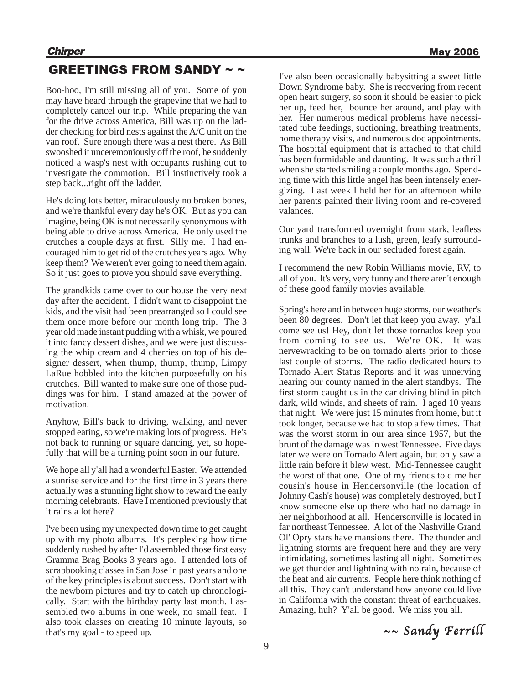# GREETINGS FROM SANDY ~ ~

Boo-hoo, I'm still missing all of you. Some of you may have heard through the grapevine that we had to completely cancel our trip. While preparing the van for the drive across America, Bill was up on the ladder checking for bird nests against the A/C unit on the van roof. Sure enough there was a nest there. As Bill swooshed it unceremoniously off the roof, he suddenly noticed a wasp's nest with occupants rushing out to investigate the commotion. Bill instinctively took a step back...right off the ladder.

He's doing lots better, miraculously no broken bones, and we're thankful every day he's OK. But as you can imagine, being OK is not necessarily synonymous with being able to drive across America. He only used the crutches a couple days at first. Silly me. I had encouraged him to get rid of the crutches years ago. Why keep them? We weren't ever going to need them again. So it just goes to prove you should save everything.

The grandkids came over to our house the very next day after the accident. I didn't want to disappoint the kids, and the visit had been prearranged so I could see them once more before our month long trip. The 3 year old made instant pudding with a whisk, we poured it into fancy dessert dishes, and we were just discussing the whip cream and 4 cherries on top of his designer dessert, when thump, thump, thump, Limpy LaRue hobbled into the kitchen purposefully on his crutches. Bill wanted to make sure one of those puddings was for him. I stand amazed at the power of motivation.

Anyhow, Bill's back to driving, walking, and never stopped eating, so we're making lots of progress. He's not back to running or square dancing, yet, so hopefully that will be a turning point soon in our future.

We hope all y'all had a wonderful Easter. We attended a sunrise service and for the first time in 3 years there actually was a stunning light show to reward the early morning celebrants. Have I mentioned previously that it rains a lot here?

I've been using my unexpected down time to get caught up with my photo albums. It's perplexing how time suddenly rushed by after I'd assembled those first easy Gramma Brag Books 3 years ago. I attended lots of scrapbooking classes in San Jose in past years and one of the key principles is about success. Don't start with the newborn pictures and try to catch up chronologically. Start with the birthday party last month. I assembled two albums in one week, no small feat. I also took classes on creating 10 minute layouts, so that's my goal - to speed up.

I've also been occasionally babysitting a sweet little Down Syndrome baby. She is recovering from recent open heart surgery, so soon it should be easier to pick her up, feed her, bounce her around, and play with her. Her numerous medical problems have necessitated tube feedings, suctioning, breathing treatments, home therapy visits, and numerous doc appointments. The hospital equipment that is attached to that child has been formidable and daunting. It was such a thrill when she started smiling a couple months ago. Spending time with this little angel has been intensely energizing. Last week I held her for an afternoon while her parents painted their living room and re-covered valances.

Our yard transformed overnight from stark, leafless trunks and branches to a lush, green, leafy surrounding wall. We're back in our secluded forest again.

I recommend the new Robin Williams movie, RV, to all of you. It's very, very funny and there aren't enough of these good family movies available.

Spring's here and in between huge storms, our weather's been 80 degrees. Don't let that keep you away. y'all come see us! Hey, don't let those tornados keep you from coming to see us. We're OK. It was nervewracking to be on tornado alerts prior to those last couple of storms. The radio dedicated hours to Tornado Alert Status Reports and it was unnerving hearing our county named in the alert standbys. The first storm caught us in the car driving blind in pitch dark, wild winds, and sheets of rain. I aged 10 years that night. We were just 15 minutes from home, but it took longer, because we had to stop a few times. That was the worst storm in our area since 1957, but the brunt of the damage was in west Tennessee. Five days later we were on Tornado Alert again, but only saw a little rain before it blew west. Mid-Tennessee caught the worst of that one. One of my friends told me her cousin's house in Hendersonville (the location of Johnny Cash's house) was completely destroyed, but I know someone else up there who had no damage in her neighborhood at all. Hendersonville is located in far northeast Tennessee. A lot of the Nashville Grand Ol' Opry stars have mansions there. The thunder and lightning storms are frequent here and they are very intimidating, sometimes lasting all night. Sometimes we get thunder and lightning with no rain, because of the heat and air currents. People here think nothing of all this. They can't understand how anyone could live in California with the constant threat of earthquakes. Amazing, huh? Y'all be good. We miss you all.

 $\sim$  Sandy Ferrill